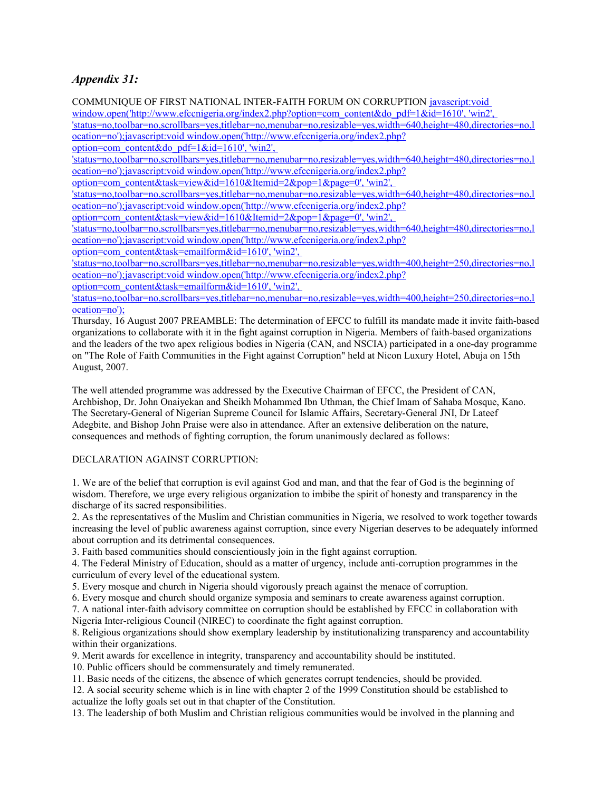## *Appendix 31:*

COMMUNIQUE OF FIRST NATIONAL INTER-FAITH FORUM ON CORRUPTION [javascript:void](javascript:void%20window.open()  window.open('http://www.efccnigeria.org/index2.php?option=com\_content&do\_pdf=1&id=1610', 'win2', ['status=no,toolbar=no,scrollbars=yes,titlebar=no,menubar=no,resizable=yes,width=640,height=480,directories=no,l](javascript:void%20window.open()  [ocation=no'\);javascript:void window.open\('http://www.efccnigeria.org/index2.php?](javascript:void%20window.open() option=com\_content&do\_pdf=1&id=1610', 'win2', ['status=no,toolbar=no,scrollbars=yes,titlebar=no,menubar=no,resizable=yes,width=640,height=480,directories=no,l](javascript:void%20window.open()  [ocation=no'\);](javascript:void%20window.open()[javascript:void window.open\('http://www.efccnigeria.org/index2.php?](javascript:void%20window.open() option=com\_content&task=view&id=1610&Itemid=2&pop=1&page=0', 'win2', ['status=no,toolbar=no,scrollbars=yes,titlebar=no,menubar=no,resizable=yes,width=640,height=480,directories=no,l](javascript:void%20window.open()  [ocation=no'\);javascript:void window.open\('http://www.efccnigeria.org/index2.php?](javascript:void%20window.open() option=com\_content&task=view&id=1610&Itemid=2&pop=1&page=0', 'win2', ['status=no,toolbar=no,scrollbars=yes,titlebar=no,menubar=no,resizable=yes,width=640,height=480,directories=no,l](javascript:void%20window.open()  [ocation=no'\);](javascript:void%20window.open()[javascript:void window.open\('http://www.efccnigeria.org/index2.php?](javascript:void%20window.open() option=com\_content&task=emailform&id=1610', 'win2', ['status=no,toolbar=no,scrollbars=yes,titlebar=no,menubar=no,resizable=yes,width=400,height=250,directories=no,l](javascript:void%20window.open()  [ocation=no'\);javascript:void window.open\('http://www.efccnigeria.org/index2.php?](javascript:void%20window.open() option=com\_content&task=emailform&id=1610', 'win2', ['status=no,toolbar=no,scrollbars=yes,titlebar=no,menubar=no,resizable=yes,width=400,height=250,directories=no,l](javascript:void%20window.open() [ocation=no'\);](javascript:void%20window.open()

Thursday, 16 August 2007 PREAMBLE: The determination of EFCC to fulfill its mandate made it invite faith-based organizations to collaborate with it in the fight against corruption in Nigeria. Members of faith-based organizations and the leaders of the two apex religious bodies in Nigeria (CAN, and NSCIA) participated in a one-day programme on "The Role of Faith Communities in the Fight against Corruption" held at Nicon Luxury Hotel, Abuja on 15th August, 2007.

The well attended programme was addressed by the Executive Chairman of EFCC, the President of CAN, Archbishop, Dr. John Onaiyekan and Sheikh Mohammed Ibn Uthman, the Chief Imam of Sahaba Mosque, Kano. The Secretary-General of Nigerian Supreme Council for Islamic Affairs, Secretary-General JNI, Dr Lateef Adegbite, and Bishop John Praise were also in attendance. After an extensive deliberation on the nature, consequences and methods of fighting corruption, the forum unanimously declared as follows:

## DECLARATION AGAINST CORRUPTION:

1. We are of the belief that corruption is evil against God and man, and that the fear of God is the beginning of wisdom. Therefore, we urge every religious organization to imbibe the spirit of honesty and transparency in the discharge of its sacred responsibilities.

2. As the representatives of the Muslim and Christian communities in Nigeria, we resolved to work together towards increasing the level of public awareness against corruption, since every Nigerian deserves to be adequately informed about corruption and its detrimental consequences.

3. Faith based communities should conscientiously join in the fight against corruption.

4. The Federal Ministry of Education, should as a matter of urgency, include anti-corruption programmes in the curriculum of every level of the educational system.

5. Every mosque and church in Nigeria should vigorously preach against the menace of corruption.

6. Every mosque and church should organize symposia and seminars to create awareness against corruption.

7. A national inter-faith advisory committee on corruption should be established by EFCC in collaboration with Nigeria Inter-religious Council (NIREC) to coordinate the fight against corruption.

8. Religious organizations should show exemplary leadership by institutionalizing transparency and accountability within their organizations.

9. Merit awards for excellence in integrity, transparency and accountability should be instituted.

10. Public officers should be commensurately and timely remunerated.

11. Basic needs of the citizens, the absence of which generates corrupt tendencies, should be provided.

12. A social security scheme which is in line with chapter 2 of the 1999 Constitution should be established to actualize the lofty goals set out in that chapter of the Constitution.

13. The leadership of both Muslim and Christian religious communities would be involved in the planning and